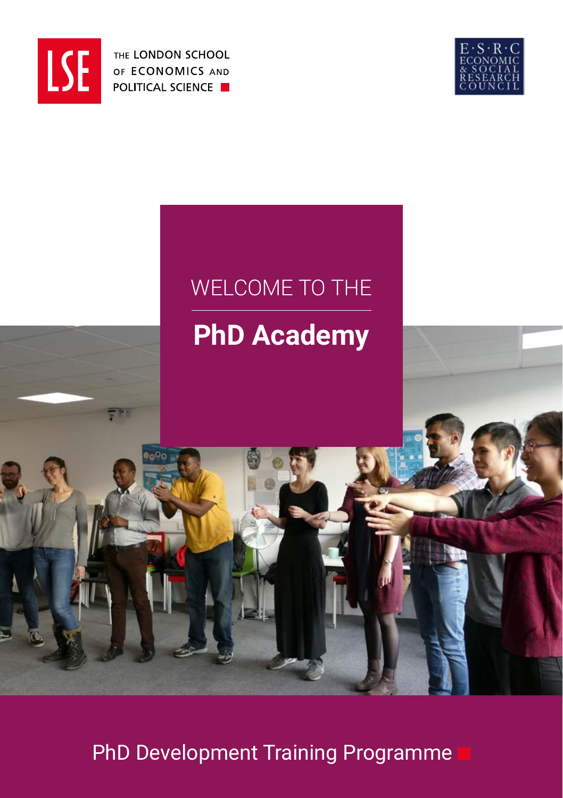

THE LONDON SCHOOL OF ECONOMICS AND **POLITICAL SCIENCE** 



# WELCOME TO THE

# **PhD Academy**

**<sup>1</sup>** PhD Development Training Programme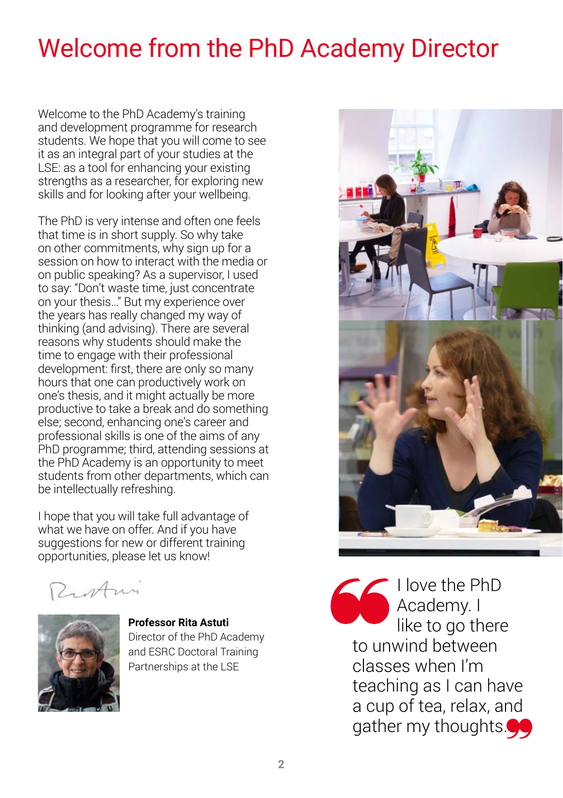# Welcome from the PhD Academy Director

Welcome to the PhD Academy's training and development programme for research students. We hope that you will come to see it as an integral part of your studies at the LSE: as a tool for enhancing your existing strengths as a researcher, for exploring new skills and for looking after your wellbeing.

The PhD is very intense and often one feels that time is in short supply. So why take on other commitments, why sign up for a session on how to interact with the media or on public speaking? As a supervisor, I used to say: "Don't waste time, just concentrate on your thesis…" But my experience over the years has really changed my way of thinking (and advising). There are several reasons why students should make the time to engage with their professional development: first, there are only so many hours that one can productively work on one's thesis, and it might actually be more productive to take a break and do something else; second, enhancing one's career and professional skills is one of the aims of any PhD programme; third, attending sessions at the PhD Academy is an opportunity to meet students from other departments, which can be intellectually refreshing.

I hope that you will take full advantage of what we have on offer. And if you have suggestions for new or different training opportunities, please let us know!

Zustani



**Professor Rita Astuti** Director of the PhD Academy and ESRC Doctoral Training Partnerships at the LSE



I love the PhD Academy. I like to go there to unwind between classes when I'm teaching as I can have a cup of tea, relax, and gather my thoughts.<sup>44</sup>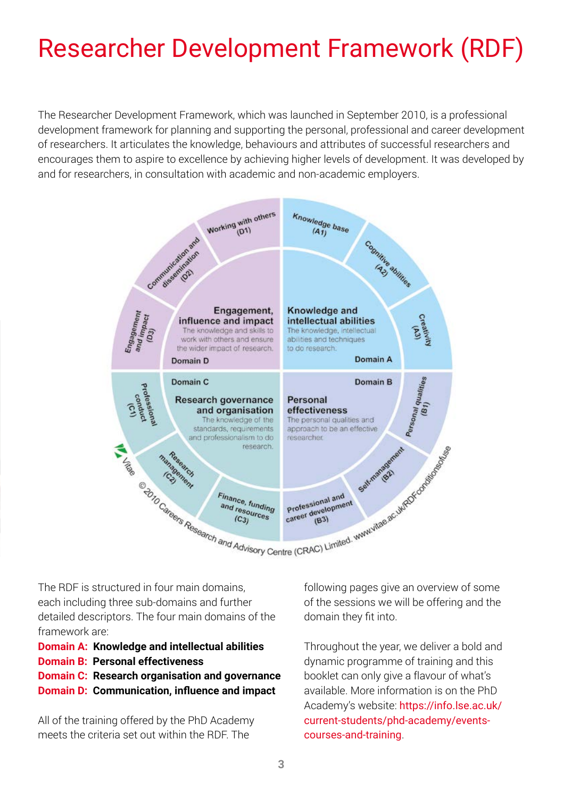# Researcher Development Framework (RDF)

The Researcher Development Framework, which was launched in September 2010, is a professional development framework for planning and supporting the personal, professional and career development of researchers. It articulates the knowledge, behaviours and attributes of successful researchers and encourages them to aspire to excellence by achieving higher levels of development. It was developed by and for researchers, in consultation with academic and non-academic employers.



The RDF is structured in four main domains, each including three sub-domains and further detailed descriptors. The four main domains of the framework are:

- **Domain A: Knowledge and intellectual abilities**
- **Domain B: Personal effectiveness**
- **Domain C: Research organisation and governance**
- **Domain D: Communication, influence and impact**

All of the training offered by the PhD Academy meets the criteria set out within the RDF. The

following pages give an overview of some of the sessions we will be offering and the domain they fit into.

Throughout the year, we deliver a bold and dynamic programme of training and this booklet can only give a flavour of what's available. More information is on the PhD Academy's website: https://info.lse.ac.uk/ current-students/phd-academy/eventscourses-and-training.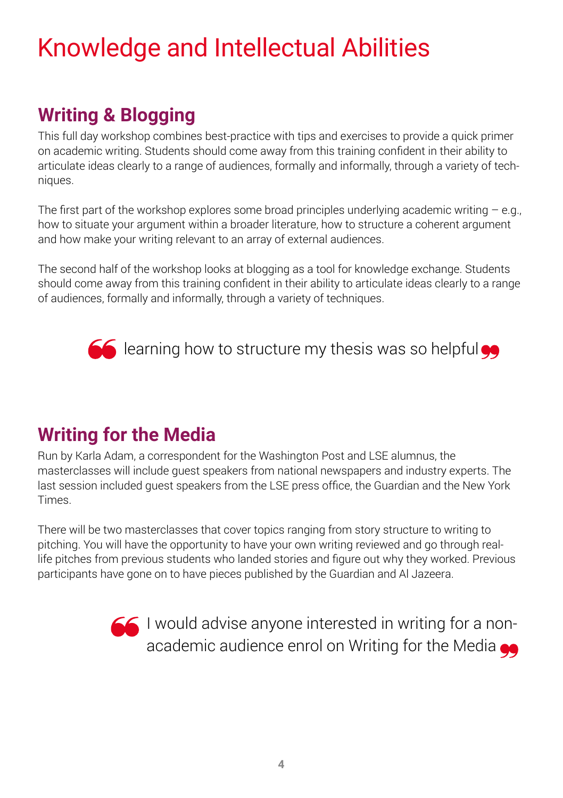# Knowledge and Intellectual Abilities

## **Writing & Blogging**

This full day workshop combines best-practice with tips and exercises to provide a quick primer on academic writing. Students should come away from this training confident in their ability to articulate ideas clearly to a range of audiences, formally and informally, through a variety of techniques.

The first part of the workshop explores some broad principles underlying academic writing  $-$  e.g., how to situate your argument within a broader literature, how to structure a coherent argument and how make your writing relevant to an array of external audiences.

The second half of the workshop looks at blogging as a tool for knowledge exchange. Students should come away from this training confident in their ability to articulate ideas clearly to a range of audiences, formally and informally, through a variety of techniques.



 $\leq$  learning how to structure my thesis was so helpful  $\bullet\bullet$ 

## **Writing for the Media**

Run by Karla Adam, a correspondent for the Washington Post and LSE alumnus, the masterclasses will include guest speakers from national newspapers and industry experts. The last session included guest speakers from the LSE press office, the Guardian and the New York **Times** 

There will be two masterclasses that cover topics ranging from story structure to writing to pitching. You will have the opportunity to have your own writing reviewed and go through reallife pitches from previous students who landed stories and figure out why they worked. Previous participants have gone on to have pieces published by the Guardian and Al Jazeera.

> I would advise anyone interested in writing for a nonacademic audience enrol on Writing for the Media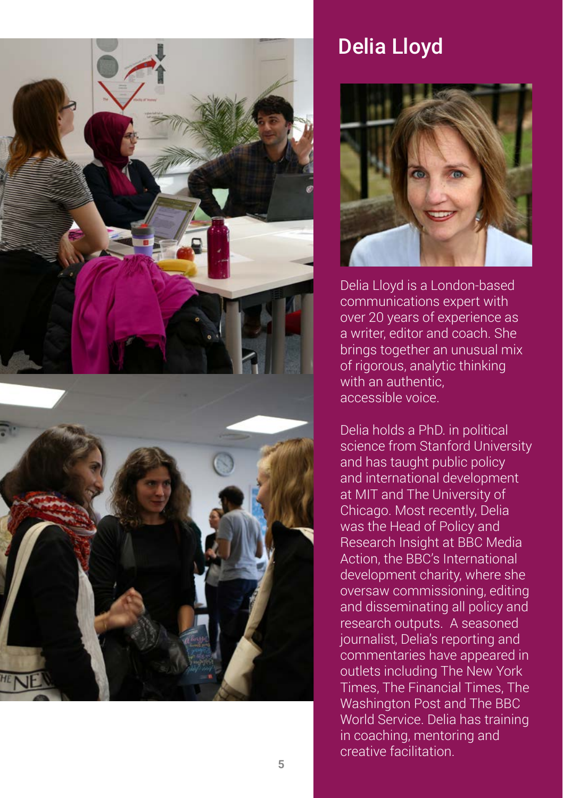

# Delia Lloyd



Delia Lloyd is a London-based communications expert with over 20 years of experience as a writer, editor and coach. She brings together an unusual mix of rigorous, analytic thinking with an authentic, accessible voice.

Delia holds a PhD. in political science from Stanford University and has taught public policy and international development at MIT and The University of Chicago. Most recently, Delia was the Head of Policy and Research Insight at BBC Media Action, the BBC's International development charity, where she oversaw commissioning, editing and disseminating all policy and research outputs. A seasoned journalist, Delia's reporting and commentaries have appeared in outlets including The New York Times, The Financial Times, The Washington Post and The BBC World Service. Delia has training in coaching, mentoring and creative facilitation.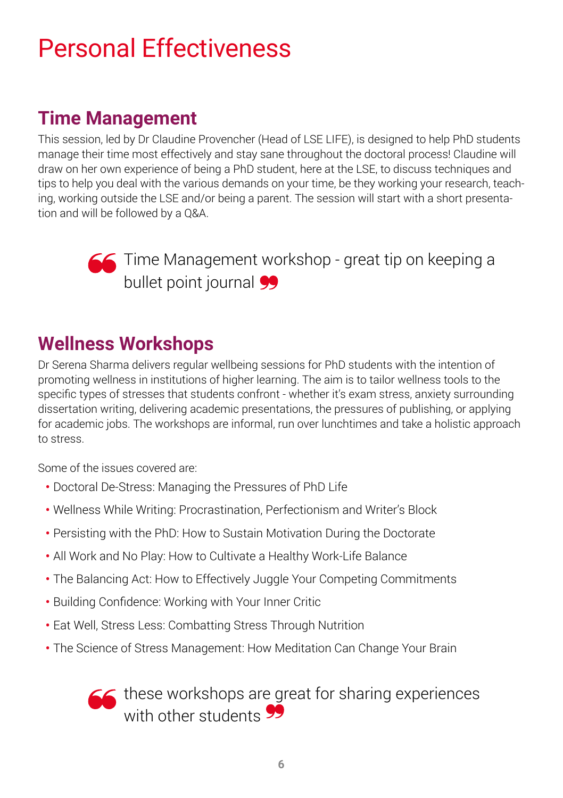# Personal Effectiveness

## **Time Management**

This session, led by Dr Claudine Provencher (Head of LSE LIFE), is designed to help PhD students manage their time most effectively and stay sane throughout the doctoral process! Claudine will draw on her own experience of being a PhD student, here at the LSE, to discuss techniques and tips to help you deal with the various demands on your time, be they working your research, teaching, working outside the LSE and/or being a parent. The session will start with a short presentation and will be followed by a Q&A.



**Time Management workshop - great tip on keeping a** bullet point journal 99

## **Wellness Workshops**

Dr Serena Sharma delivers regular wellbeing sessions for PhD students with the intention of promoting wellness in institutions of higher learning. The aim is to tailor wellness tools to the specific types of stresses that students confront - whether it's exam stress, anxiety surrounding dissertation writing, delivering academic presentations, the pressures of publishing, or applying for academic jobs. The workshops are informal, run over lunchtimes and take a holistic approach to stress.

Some of the issues covered are:

- **•** Doctoral De-Stress: Managing the Pressures of PhD Life
- **•** Wellness While Writing: Procrastination, Perfectionism and Writer's Block
- **•** Persisting with the PhD: How to Sustain Motivation During the Doctorate
- **•** All Work and No Play: How to Cultivate a Healthy Work-Life Balance
- **•** The Balancing Act: How to Effectively Juggle Your Competing Commitments
- **•** Building Confidence: Working with Your Inner Critic
- **•** Eat Well, Stress Less: Combatting Stress Through Nutrition
- **•** The Science of Stress Management: How Meditation Can Change Your Brain

 $\leq$  these workshops are great for sharing experiences with other students 99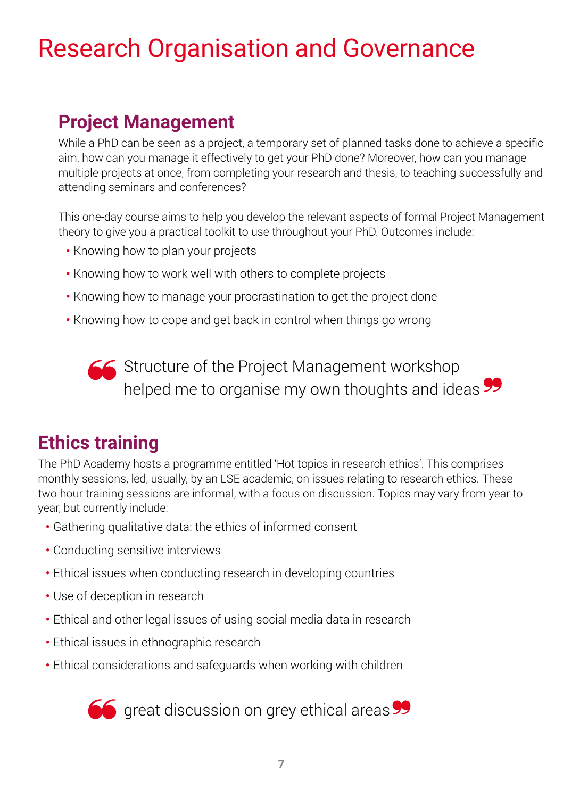# Research Organisation and Governance

## **Project Management**

While a PhD can be seen as a project, a temporary set of planned tasks done to achieve a specific aim, how can you manage it effectively to get your PhD done? Moreover, how can you manage multiple projects at once, from completing your research and thesis, to teaching successfully and attending seminars and conferences?

This one-day course aims to help you develop the relevant aspects of formal Project Management theory to give you a practical toolkit to use throughout your PhD. Outcomes include:

- **•** Knowing how to plan your projects
- **•** Knowing how to work well with others to complete projects
- **•** Knowing how to manage your procrastination to get the project done
- **•** Knowing how to cope and get back in control when things go wrong

**STA** Structure of the Project Management workshop helped me to organise my own thoughts and ideas

## **Ethics training**

The PhD Academy hosts a programme entitled 'Hot topics in research ethics'. This comprises monthly sessions, led, usually, by an LSE academic, on issues relating to research ethics. These two-hour training sessions are informal, with a focus on discussion. Topics may vary from year to year, but currently include:

- **•** Gathering qualitative data: the ethics of informed consent
- **•** Conducting sensitive interviews
- **•** Ethical issues when conducting research in developing countries
- **•** Use of deception in research
- **•** Ethical and other legal issues of using social media data in research
- **•** Ethical issues in ethnographic research
- **•** Ethical considerations and safeguards when working with children

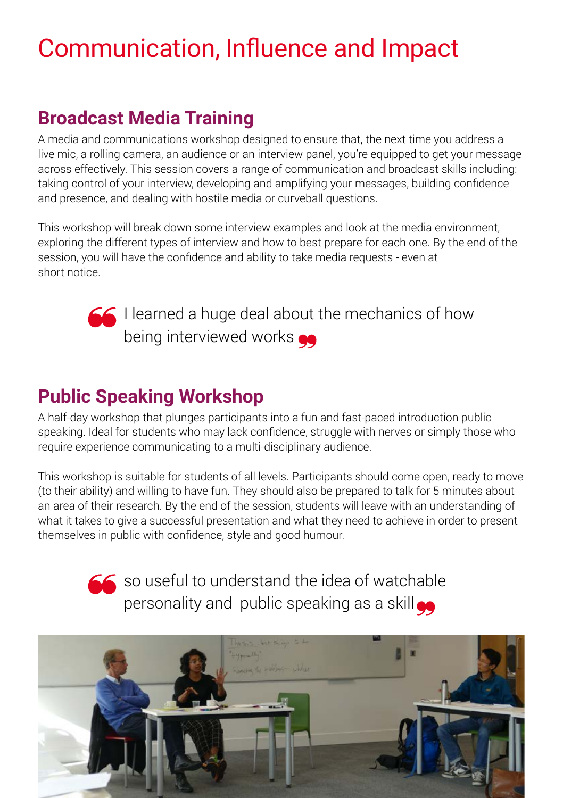# Communication, Influence and Impact

## **Broadcast Media Training**

A media and communications workshop designed to ensure that, the next time you address a live mic, a rolling camera, an audience or an interview panel, you're equipped to get your message across effectively. This session covers a range of communication and broadcast skills including: taking control of your interview, developing and amplifying your messages, building confidence and presence, and dealing with hostile media or curveball questions.

This workshop will break down some interview examples and look at the media environment, exploring the different types of interview and how to best prepare for each one. By the end of the session, you will have the confidence and ability to take media requests - even at short notice.



I learned a huge deal about the mechanics of how being interviewed works

## **Public Speaking Workshop**

A half-day workshop that plunges participants into a fun and fast-paced introduction public speaking. Ideal for students who may lack confidence, struggle with nerves or simply those who require experience communicating to a multi-disciplinary audience.

This workshop is suitable for students of all levels. Participants should come open, ready to move (to their ability) and willing to have fun. They should also be prepared to talk for 5 minutes about an area of their research. By the end of the session, students will leave with an understanding of what it takes to give a successful presentation and what they need to achieve in order to present themselves in public with confidence, style and good humour.

> $\leq$  so useful to understand the idea of watchable personality and public speaking as a skill o

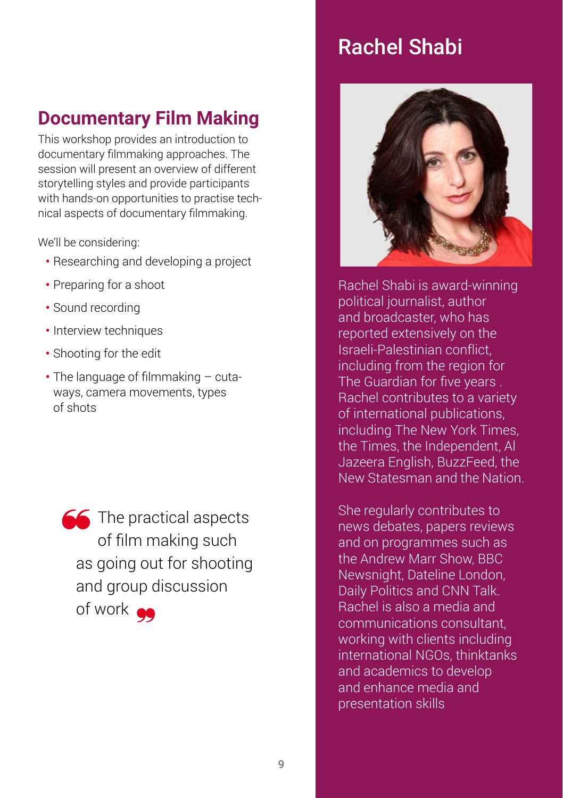## Rachel Shabi

## **Documentary Film Making**

This workshop provides an introduction to documentary filmmaking approaches. The session will present an overview of different storytelling styles and provide participants with hands-on opportunities to practise technical aspects of documentary filmmaking.

We'll be considering:

- **•** Researching and developing a project
- **•** Preparing for a shoot
- **•** Sound recording
- **•** Interview techniques
- **•** Shooting for the edit
- **•** The language of filmmaking cutaways, camera movements, types of shots

**The practical aspects** of film making such as going out for shooting and group discussion of work



Rachel Shabi is award-winning political journalist, author and broadcaster, who has reported extensively on the Israeli-Palestinian conflict, including from the region for The Guardian for five years . Rachel contributes to a variety of international publications, including The New York Times, the Times, the Independent, Al Jazeera English, BuzzFeed, the New Statesman and the Nation.

She regularly contributes to news debates, papers reviews and on programmes such as the Andrew Marr Show, BBC Newsnight, Dateline London, Daily Politics and CNN Talk. Rachel is also a media and communications consultant, working with clients including international NGOs, thinktanks and academics to develop and enhance media and presentation skills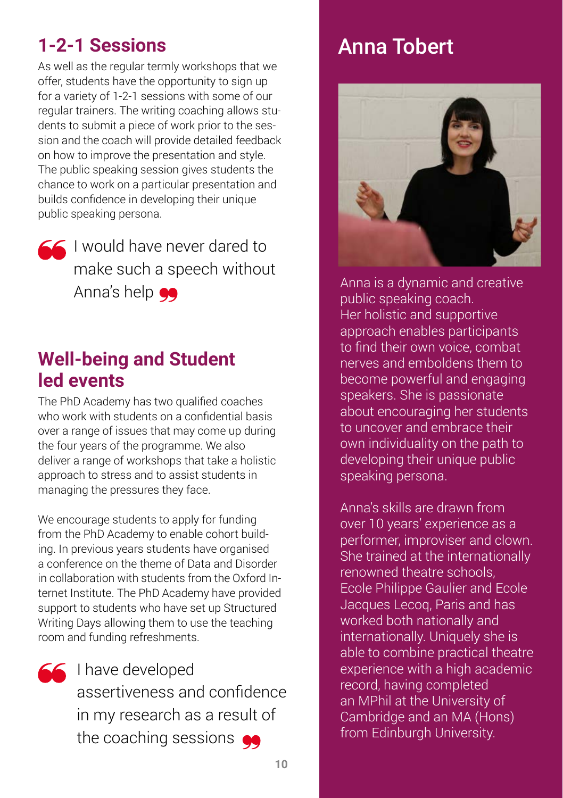## **1-2-1 Sessions**

As well as the regular termly workshops that we offer, students have the opportunity to sign up for a variety of 1-2-1 sessions with some of our regular trainers. The writing coaching allows students to submit a piece of work prior to the session and the coach will provide detailed feedback on how to improve the presentation and style. The public speaking session gives students the chance to work on a particular presentation and builds confidence in developing their unique public speaking persona.

I would have never dared to make such a speech without Anna's help  $\bullet\bullet$ 

### **Well-being and Student led events**

The PhD Academy has two qualified coaches who work with students on a confidential basis over a range of issues that may come up during the four years of the programme. We also deliver a range of workshops that take a holistic approach to stress and to assist students in managing the pressures they face.

We encourage students to apply for funding from the PhD Academy to enable cohort building. In previous years students have organised a conference on the theme of Data and Disorder in collaboration with students from the Oxford Internet Institute. The PhD Academy have provided support to students who have set up Structured Writing Days allowing them to use the teaching room and funding refreshments.



I have developed assertiveness and confidence in my research as a result of the coaching sessions  $\bullet$ 

## Anna Tobert



Anna is a dynamic and creative public speaking coach. Her holistic and supportive approach enables participants to find their own voice, combat nerves and emboldens them to become powerful and engaging speakers. She is passionate about encouraging her students to uncover and embrace their own individuality on the path to developing their unique public speaking persona.

Anna's skills are drawn from over 10 years' experience as a performer, improviser and clown. She trained at the internationally renowned theatre schools, Ecole Philippe Gaulier and Ecole Jacques Lecoq, Paris and has worked both nationally and internationally. Uniquely she is able to combine practical theatre experience with a high academic record, having completed an MPhil at the University of Cambridge and an MA (Hons) from Edinburgh University.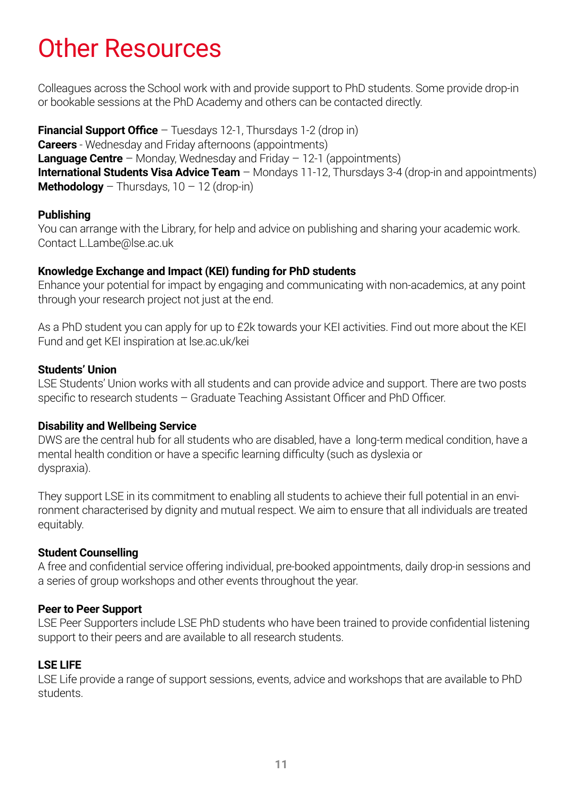# Other Resources

Colleagues across the School work with and provide support to PhD students. Some provide drop-in or bookable sessions at the PhD Academy and others can be contacted directly.

**Financial Support Office** – Tuesdays 12-1, Thursdays 1-2 (drop in) **Careers** - Wednesday and Friday afternoons (appointments) **Language Centre** – Monday, Wednesday and Friday – 12-1 (appointments) **International Students Visa Advice Team** – Mondays 11-12, Thursdays 3-4 (drop-in and appointments) **Methodology** – Thursdays,  $10 - 12$  (drop-in)

#### **Publishing**

You can arrange with the Library, for help and advice on publishing and sharing your academic work. Contact L.Lambe@lse.ac.uk

### **Knowledge Exchange and Impact (KEI) funding for PhD students**

Enhance your potential for impact by engaging and communicating with non-academics, at any point through your research project not just at the end.

As a PhD student you can apply for up to £2k towards your KEI activities. Find out more about the KEI Fund and get KEI inspiration at lse.ac.uk/kei

### **Students' Union**

LSE Students' Union works with all students and can provide advice and support. There are two posts specific to research students – Graduate Teaching Assistant Officer and PhD Officer.

### **Disability and Wellbeing Service**

DWS are the central hub for all students who are disabled, have a long-term medical condition, have a mental health condition or have a specific learning difficulty (such as dyslexia or dyspraxia).

They support LSE in its commitment to enabling all students to achieve their full potential in an environment characterised by dignity and mutual respect. We aim to ensure that all individuals are treated equitably.

### **Student Counselling**

A free and confidential service offering individual, pre-booked appointments, daily drop-in sessions and a series of group workshops and other events throughout the year.

### **Peer to Peer Support**

LSE Peer Supporters include LSE PhD students who have been trained to provide confidential listening support to their peers and are available to all research students.

### **LSE LIFE**

LSE Life provide a range of support sessions, events, advice and workshops that are available to PhD students.